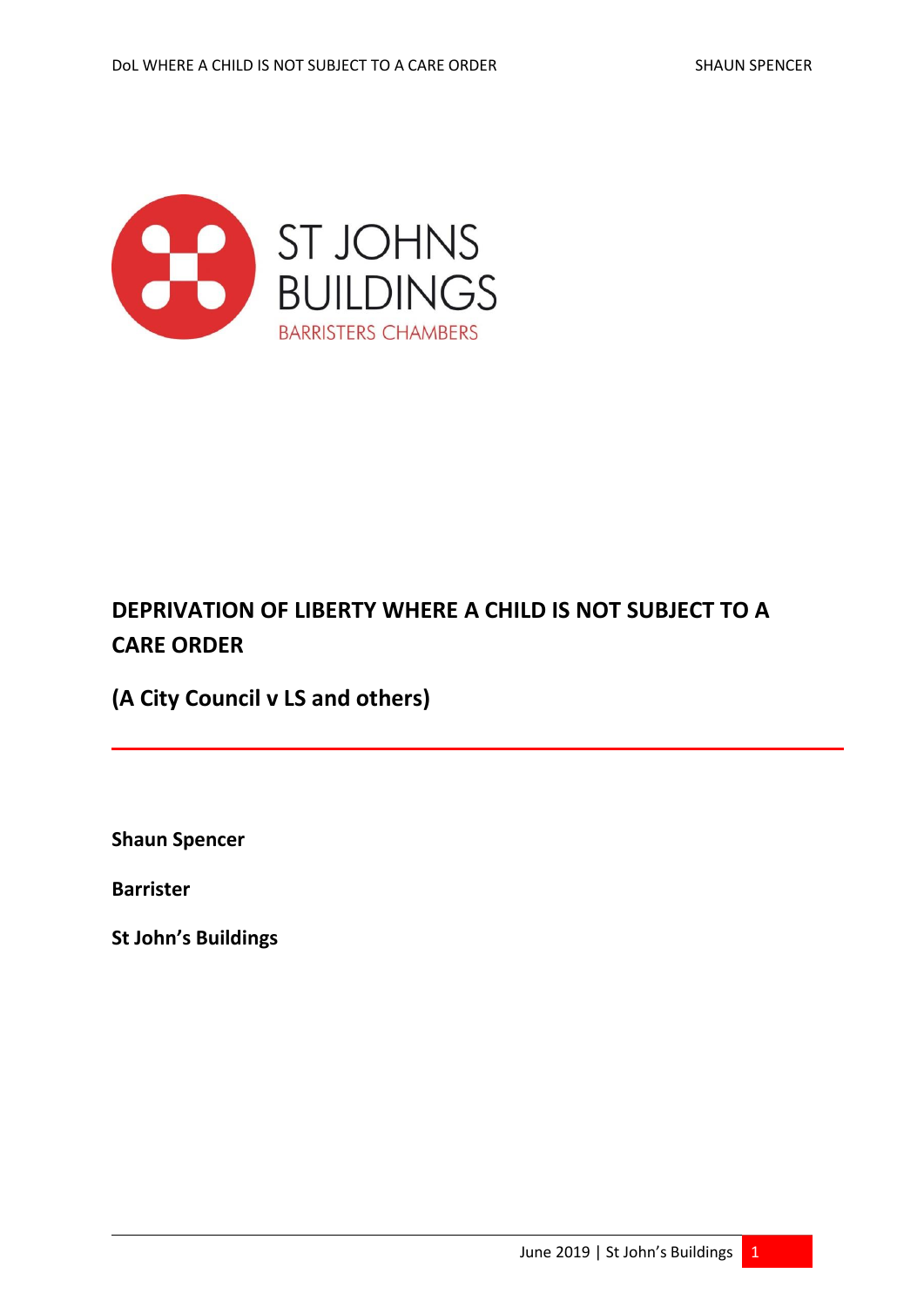

## **DEPRIVATION OF LIBERTY WHERE A CHILD IS NOT SUBJECT TO A CARE ORDER**

**(A City Council v LS and others)**

**Shaun Spencer**

**Barrister**

**St John's Buildings**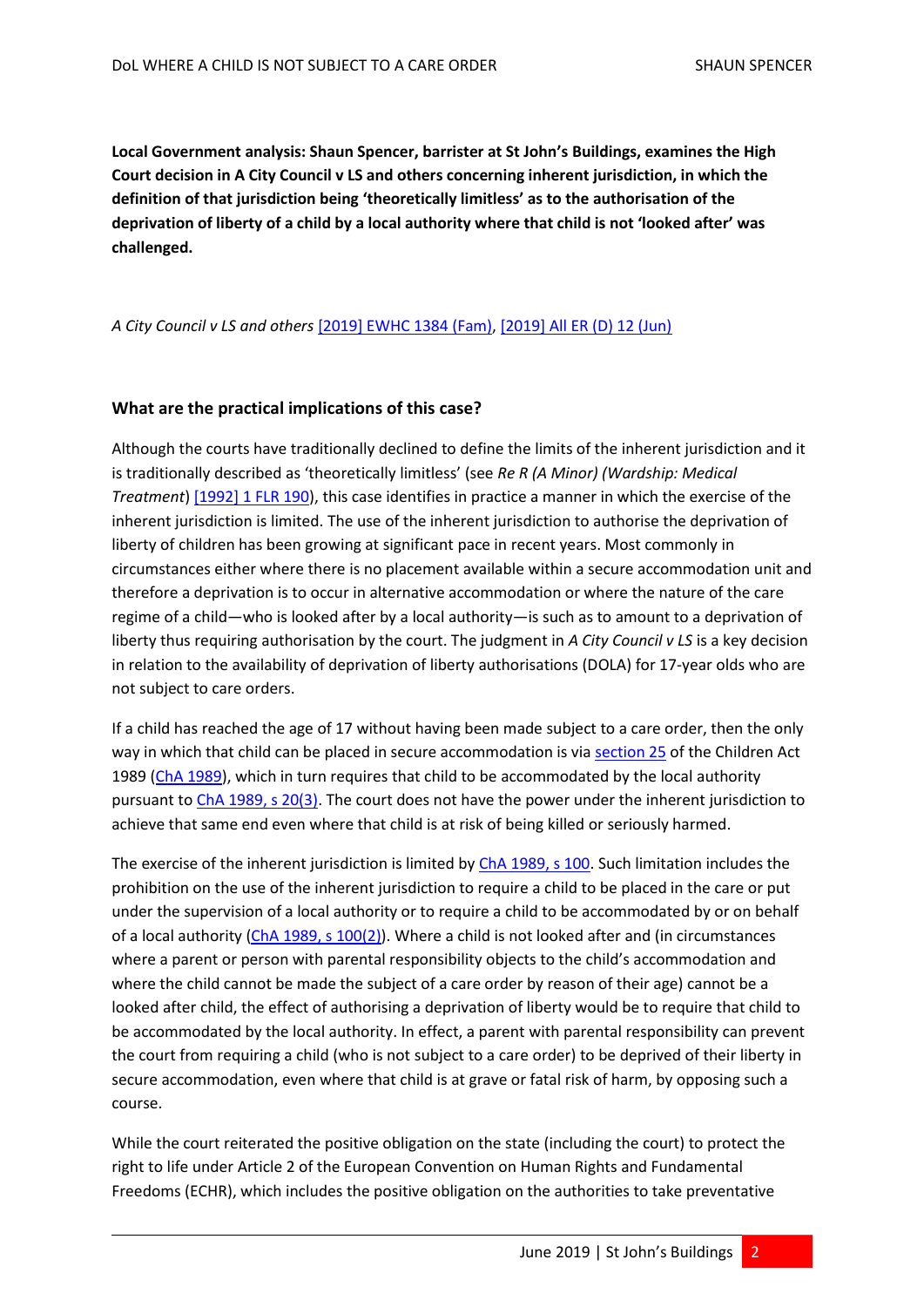**Local Government analysis: Shaun Spencer, barrister at St John's Buildings, examines the High Court decision in A City Council v LS and others concerning inherent jurisdiction, in which the definition of that jurisdiction being 'theoretically limitless' as to the authorisation of the deprivation of liberty of a child by a local authority where that child is not 'looked after' was challenged.**

*A City Council v LS and others* [\[2019\] EWHC 1384 \(Fam\),](https://www.lexisnexis.com/uk/lexispsl/family/citationlinkHandler.faces?bct=A&service=citation&risb=&EWHCFAM&$sel1!%252019%25$year!%252019%25$page!%251384%25) [\[2019\] All ER \(D\) 12 \(Jun\)](https://www.lexisnexis.com/uk/lexispsl/family/citationlinkHandler.faces?bct=A&service=citation&risb=&ALLERD&$sel1!%252019%25$year!%252019%25$sel2!%2506%25$vol!%2506%25$page!%2512%25)

## **What are the practical implications of this case?**

Although the courts have traditionally declined to define the limits of the inherent jurisdiction and it is traditionally described as 'theoretically limitless' (see *Re R (A Minor) (Wardship: Medical Treatment*) [\[1992\] 1 FLR 190\)](https://www.lexisnexis.com/uk/lexispsl/family/citationlinkHandler.faces?bct=A&service=citation&risb=&FLR&$sel1!%251992%25$year!%251992%25$sel2!%251%25$vol!%251%25$page!%25190%25), this case identifies in practice a manner in which the exercise of the inherent jurisdiction is limited. The use of the inherent jurisdiction to authorise the deprivation of liberty of children has been growing at significant pace in recent years. Most commonly in circumstances either where there is no placement available within a secure accommodation unit and therefore a deprivation is to occur in alternative accommodation or where the nature of the care regime of a child—who is looked after by a local authority—is such as to amount to a deprivation of liberty thus requiring authorisation by the court. The judgment in *A City Council v LS* is a key decision in relation to the availability of deprivation of liberty authorisations (DOLA) for 17-year olds who are not subject to care orders.

If a child has reached the age of 17 without having been made subject to a care order, then the only way in which that child can be placed in secure accommodation is vi[a section 25](https://www.lexisnexis.com/uk/lexispsl/family/citationlinkHandler.faces?bct=A&service=citation&risb=&UK_ACTS&$num!%251989_41a%25$section!%2525%25$sect!%2525%25) of the Children Act 1989 [\(ChA 1989\)](https://www.lexisnexis.com/uk/lexispsl/family/citationlinkHandler.faces?bct=A&service=citation&risb=&UK_ACTS&$num!%251989_41a_Title%25), which in turn requires that child to be accommodated by the local authority pursuant t[o ChA 1989, s 20\(3\).](https://www.lexisnexis.com/uk/lexispsl/family/citationlinkHandler.faces?bct=A&service=citation&risb=&UK_ACTS&$num!%251989_41a%25$section!%2520%25$sect!%2520%25) The court does not have the power under the inherent jurisdiction to achieve that same end even where that child is at risk of being killed or seriously harmed.

The exercise of the inherent jurisdiction is limited b[y ChA 1989, s 100.](https://www.lexisnexis.com/uk/lexispsl/family/citationlinkHandler.faces?bct=A&service=citation&risb=&UK_ACTS&$num!%251989_41a%25$section!%25100%25$sect!%25100%25) Such limitation includes the prohibition on the use of the inherent jurisdiction to require a child to be placed in the care or put under the supervision of a local authority or to require a child to be accommodated by or on behalf of a local authority (ChA 1989, s  $100(2)$ ). Where a child is not looked after and (in circumstances where a parent or person with parental responsibility objects to the child's accommodation and where the child cannot be made the subject of a care order by reason of their age) cannot be a looked after child, the effect of authorising a deprivation of liberty would be to require that child to be accommodated by the local authority. In effect, a parent with parental responsibility can prevent the court from requiring a child (who is not subject to a care order) to be deprived of their liberty in secure accommodation, even where that child is at grave or fatal risk of harm, by opposing such a course.

While the court reiterated the positive obligation on the state (including the court) to protect the right to life under Article 2 of the European Convention on Human Rights and Fundamental Freedoms (ECHR), which includes the positive obligation on the authorities to take preventative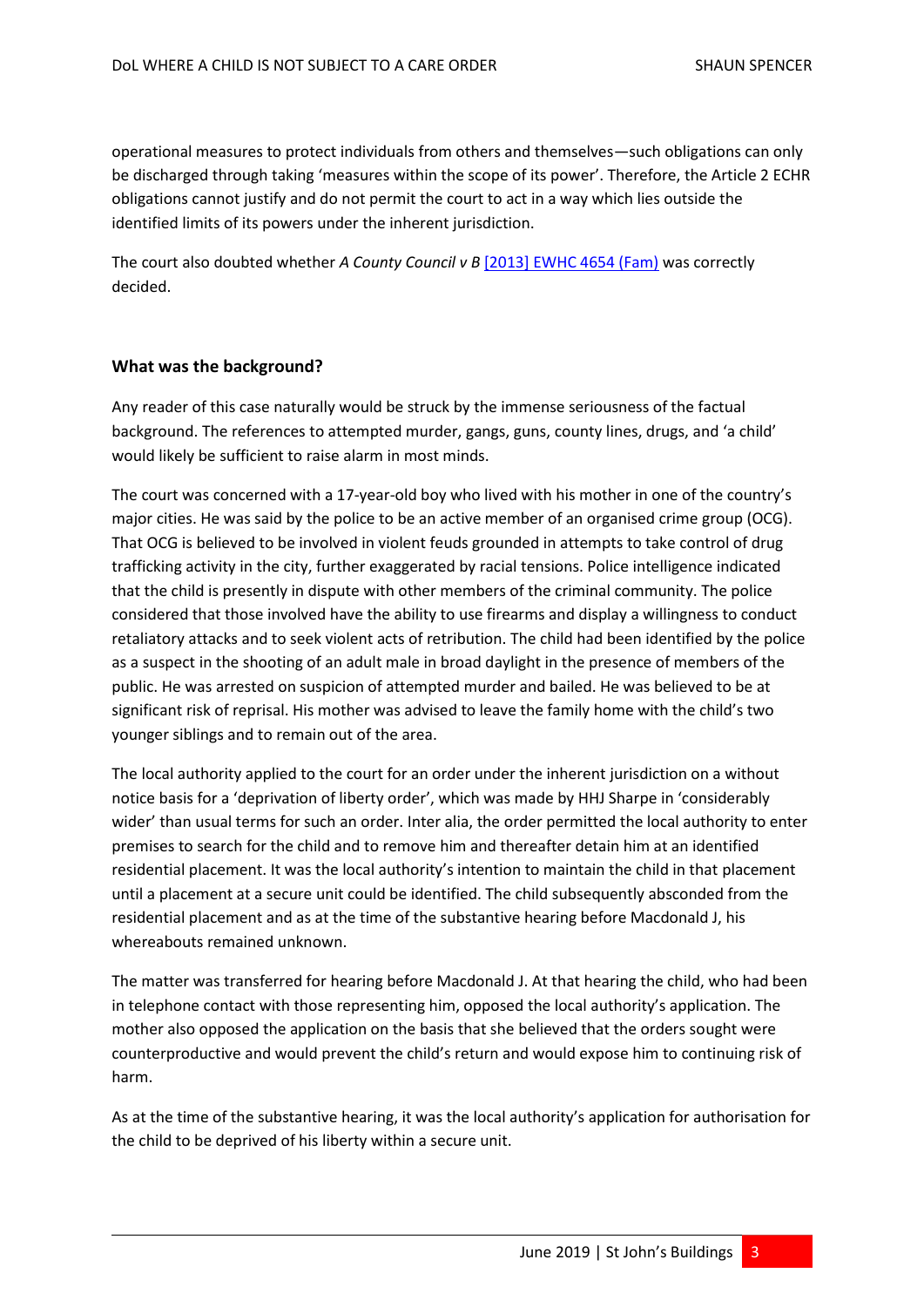operational measures to protect individuals from others and themselves—such obligations can only be discharged through taking 'measures within the scope of its power'. Therefore, the Article 2 ECHR obligations cannot justify and do not permit the court to act in a way which lies outside the identified limits of its powers under the inherent jurisdiction.

The court also doubted whether *A County Council v B* [\[2013\] EWHC 4654 \(Fam\)](https://www.lexisnexis.com/uk/lexispsl/family/citationlinkHandler.faces?bct=A&service=citation&risb=&EWHCFAM&$sel1!%252013%25$year!%252013%25$page!%254654%25) was correctly decided.

## **What was the background?**

Any reader of this case naturally would be struck by the immense seriousness of the factual background. The references to attempted murder, gangs, guns, county lines, drugs, and 'a child' would likely be sufficient to raise alarm in most minds.

The court was concerned with a 17-year-old boy who lived with his mother in one of the country's major cities. He was said by the police to be an active member of an organised crime group (OCG). That OCG is believed to be involved in violent feuds grounded in attempts to take control of drug trafficking activity in the city, further exaggerated by racial tensions. Police intelligence indicated that the child is presently in dispute with other members of the criminal community. The police considered that those involved have the ability to use firearms and display a willingness to conduct retaliatory attacks and to seek violent acts of retribution. The child had been identified by the police as a suspect in the shooting of an adult male in broad daylight in the presence of members of the public. He was arrested on suspicion of attempted murder and bailed. He was believed to be at significant risk of reprisal. His mother was advised to leave the family home with the child's two younger siblings and to remain out of the area.

The local authority applied to the court for an order under the inherent jurisdiction on a without notice basis for a 'deprivation of liberty order', which was made by HHJ Sharpe in 'considerably wider' than usual terms for such an order. Inter alia, the order permitted the local authority to enter premises to search for the child and to remove him and thereafter detain him at an identified residential placement. It was the local authority's intention to maintain the child in that placement until a placement at a secure unit could be identified. The child subsequently absconded from the residential placement and as at the time of the substantive hearing before Macdonald J, his whereabouts remained unknown.

The matter was transferred for hearing before Macdonald J. At that hearing the child, who had been in telephone contact with those representing him, opposed the local authority's application. The mother also opposed the application on the basis that she believed that the orders sought were counterproductive and would prevent the child's return and would expose him to continuing risk of harm.

As at the time of the substantive hearing, it was the local authority's application for authorisation for the child to be deprived of his liberty within a secure unit.